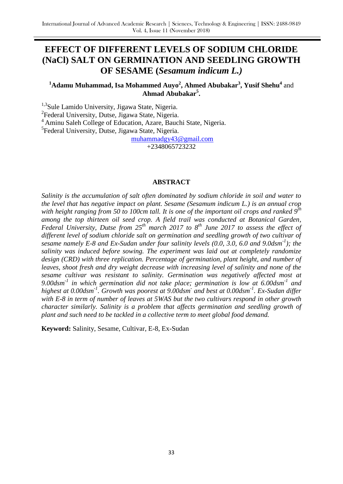# **EFFECT OF DIFFERENT LEVELS OF SODIUM CHLORIDE (NaCl) SALT ON GERMINATION AND SEEDLING GROWTH OF SESAME (***Sesamum indicum L.)*

# **<sup>1</sup>Adamu Muhammad, Isa Mohammed Auyo<sup>2</sup> , Ahmed Abubakar<sup>3</sup> , Yusif Shehu<sup>4</sup>** and **Ahmad Abubakar<sup>5</sup> .**

<sup>1,3</sup>Sule Lamido University, Jigawa State, Nigeria. <sup>2</sup>Federal University, Dutse, Jigawa State, Nigeria. <sup>4</sup> Aminu Saleh College of Education, Azare, Bauchi State, Nigeria.

<sup>5</sup>Federal University, Dutse, Jigawa State, Nigeria.

[muhammadgy43@gmail.com](mailto:muhammadgy43@gmail.com)

+2348065723232

#### **ABSTRACT**

*Salinity is the accumulation of salt often dominated by sodium chloride in soil and water to the level that has negative impact on plant. Sesame (Sesamum indicum L.) is an annual crop with height ranging from 50 to 100cm tall. It is one of the important oil crops and ranked 9th among the top thirteen oil seed crop. A field trail was conducted at Botanical Garden, Federal University, Dutse from 25th march 2017 to 8th June 2017 to assess the effect of*  different level of sodium chloride salt on germination and seedling growth of two cultivar of *sesame namely E-8 and Ex-Sudan under four salinity levels (0.0, 3.0, 6.0 and 9.0dsm-1 ); the salinity was induced before sowing. The experiment was laid out at completely randomize design (CRD) with three replication. Percentage of germination, plant height, and number of leaves, shoot fresh and dry weight decrease with increasing level of salinity and none of the sesame cultivar was resistant to salinity. Germination was negatively affected most at 9.00dsm-1 in which germination did not take place; germination is low at 6.00dsm-1 and highest at 0.00dsm-1 . Growth was poorest at 9.00dsm-and best at 0.00dsm-1 . Ex-Sudan differ with E-8 in term of number of leaves at 5WAS but the two cultivars respond in other growth character similarly. Salinity is a problem that affects germination and seedling growth of plant and such need to be tackled in a collective term to meet global food demand.*

**Keyword:** Salinity, Sesame, Cultivar, E-8, Ex-Sudan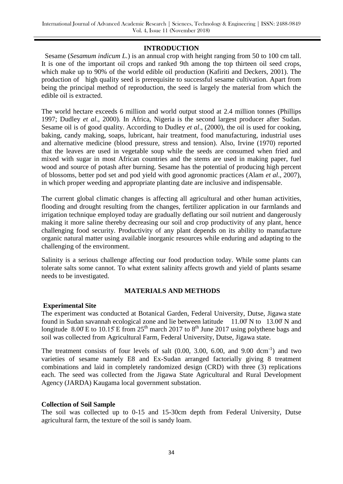#### **INTRODUCTION**

Sesame (*Sesamum indicum L.*) is an annual crop with height ranging from 50 to 100 cm tall. It is one of the important oil crops and ranked 9th among the top thirteen oil seed crops, which make up to 90% of the world edible oil production (Kafiriti and Deckers, 2001). The production of high quality seed is prerequisite to successful sesame cultivation. Apart from being the principal method of reproduction, the seed is largely the material from which the edible oil is extracted.

The world hectare exceeds 6 million and world output stood at 2.4 million tonnes (Phillips 1997; Dudley *et al*., 2000). In Africa, Nigeria is the second largest producer after Sudan. Sesame oil is of good quality. According to Dudley *et al*., (2000), the oil is used for cooking, baking, candy making, soaps, lubricant, hair treatment, food manufacturing, industrial uses and alternative medicine (blood pressure, stress and tension). Also, Irvine (1970) reported that the leaves are used in vegetable soup while the seeds are consumed when fried and mixed with sugar in most African countries and the stems are used in making paper, fuel wood and source of potash after burning. Sesame has the potential of producing high percent of blossoms, better pod set and pod yield with good agronomic practices (Alam *et al*., 2007), in which proper weeding and appropriate planting date are inclusive and indispensable.

The current global climatic changes is affecting all agricultural and other human activities, flooding and drought resulting from the changes, fertilizer application in our farmlands and irrigation technique employed today are gradually deflating our soil nutrient and dangerously making it more saline thereby decreasing our soil and crop productivity of any plant, hence challenging food security. Productivity of any plant depends on its ability to manufacture organic natural matter using available inorganic resources while enduring and adapting to the challenging of the environment.

Salinity is a serious challenge affecting our food production today. While some plants can tolerate salts some cannot. To what extent salinity affects growth and yield of plants sesame needs to be investigated.

# **MATERIALS AND METHODS**

#### **Experimental Site**

The experiment was conducted at Botanical Garden, Federal University, Dutse, Jigawa state found in Sudan savannah ecological zone and lie between latitude 11.00̊ N to 13.00̊ N and longitude  $8.00 \text{ E}$  to  $10.15 \text{ E}$  from  $25^{\text{th}}$  march 2017 to  $8^{\text{th}}$  June 2017 using polythene bags and soil was collected from Agricultural Farm, Federal University, Dutse, Jigawa state.

The treatment consists of four levels of salt  $(0.00, 3.00, 6.00,$  and  $9.00$  dcm<sup>-1</sup>) and two varieties of sesame namely E8 and Ex-Sudan arranged factorially giving 8 treatment combinations and laid in completely randomized design (CRD) with three (3) replications each. The seed was collected from the Jigawa State Agricultural and Rural Development Agency (JARDA) Kaugama local government substation.

#### **Collection of Soil Sample**

The soil was collected up to 0-15 and 15-30cm depth from Federal University, Dutse agricultural farm, the texture of the soil is sandy loam.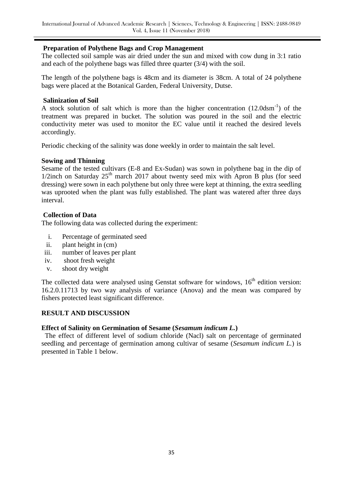## **Preparation of Polythene Bags and Crop Management**

The collected soil sample was air dried under the sun and mixed with cow dung in 3:1 ratio and each of the polythene bags was filled three quarter (3/4) with the soil.

The length of the polythene bags is 48cm and its diameter is 38cm. A total of 24 polythene bags were placed at the Botanical Garden, Federal University, Dutse.

#### **Salinization of Soil**

A stock solution of salt which is more than the higher concentration  $(12.0dsm^{-1})$  of the treatment was prepared in bucket. The solution was poured in the soil and the electric conductivity meter was used to monitor the EC value until it reached the desired levels accordingly.

Periodic checking of the salinity was done weekly in order to maintain the salt level.

## **Sowing and Thinning**

Sesame of the tested cultivars (E-8 and Ex-Sudan) was sown in polythene bag in the dip of 1/2inch on Saturday  $25<sup>th</sup>$  march 2017 about twenty seed mix with Apron B plus (for seed dressing) were sown in each polythene but only three were kept at thinning, the extra seedling was uprooted when the plant was fully established. The plant was watered after three days interval.

## **Collection of Data**

The following data was collected during the experiment:

- i. Percentage of germinated seed
- ii. plant height in (cm)
- iii. number of leaves per plant
- iv. shoot fresh weight
- v. shoot dry weight

The collected data were analysed using Genstat software for windows,  $16<sup>th</sup>$  edition version: 16.2.0.11713 by two way analysis of variance (Anova) and the mean was compared by fishers protected least significant difference.

# **RESULT AND DISCUSSION**

# **Effect of Salinity on Germination of Sesame (***Sesamum indicum L.***)**

 The effect of different level of sodium chloride (Nacl) salt on percentage of germinated seedling and percentage of germination among cultivar of sesame (*Sesamum indicum L.*) is presented in Table 1 below.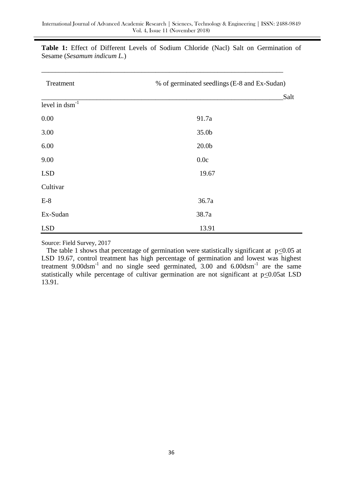| Treatment           | % of germinated seedlings (E-8 and Ex-Sudan) |  |  |
|---------------------|----------------------------------------------|--|--|
|                     | Salt                                         |  |  |
| level in $dsm^{-1}$ |                                              |  |  |
| 0.00                | 91.7a                                        |  |  |
| 3.00                | 35.0b                                        |  |  |
| 6.00                | 20.0 <sub>b</sub>                            |  |  |
| 9.00                | 0.0c                                         |  |  |
| <b>LSD</b>          | 19.67                                        |  |  |
| Cultivar            |                                              |  |  |
| $E-8$               | 36.7a                                        |  |  |
| Ex-Sudan            | 38.7a                                        |  |  |
| <b>LSD</b>          | 13.91                                        |  |  |

**Table 1:** Effect of Different Levels of Sodium Chloride (Nacl) Salt on Germination of Sesame (*Sesamum indicum L.*)

\_\_\_\_\_\_\_\_\_\_\_\_\_\_\_\_\_\_\_\_\_\_\_\_\_\_\_\_\_\_\_\_\_\_\_\_\_\_\_\_\_\_\_\_\_\_\_\_\_\_\_\_\_\_\_\_\_\_\_\_\_\_\_\_\_\_\_\_\_\_

Source: Field Survey, 2017

The table 1 shows that percentage of germination were statistically significant at  $p<0.05$  at LSD 19.67, control treatment has high percentage of germination and lowest was highest treatment  $9.00d\text{sm}^{-1}$  and no single seed germinated,  $3.00$  and  $6.00d\text{sm}^{-1}$  are the same statistically while percentage of cultivar germination are not significant at  $p \le 0.05$ at LSD 13.91.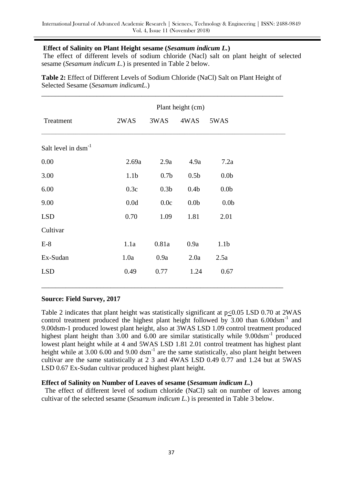# **Effect of Salinity on Plant Height sesame (***Sesamum indicum L.***)**

The effect of different levels of sodium chloride (Nacl) salt on plant height of selected sesame (*Sesamum indicum L.*) is presented in Table 2 below.

**Table 2:** Effect of Different Levels of Sodium Chloride (NaCl) Salt on Plant Height of Selected Sesame (*Sesamum indicumL.*)

|                          | Plant height (cm) |                  |                  |                  |  |
|--------------------------|-------------------|------------------|------------------|------------------|--|
| Treatment                | 2WAS              | 3WAS             | 4WAS             | 5WAS             |  |
| Salt level in $dsm^{-1}$ |                   |                  |                  |                  |  |
| 0.00                     | 2.69a             | 2.9a             | 4.9a             | 7.2a             |  |
| 3.00                     | 1.1 <sub>b</sub>  | 0.7 <sub>b</sub> | 0.5 <sub>b</sub> | 0.0 <sub>b</sub> |  |
| 6.00                     | 0.3c              | 0.3 <sub>b</sub> | 0.4 <sub>b</sub> | 0.0 <sub>b</sub> |  |
| 9.00                     | 0.0d              | 0.0c             | 0.0 <sub>b</sub> | 0.0 <sub>b</sub> |  |
| <b>LSD</b>               | 0.70              | 1.09             | 1.81             | 2.01             |  |
| Cultivar                 |                   |                  |                  |                  |  |
| $E-8$                    | 1.1a              | 0.81a            | 0.9a             | 1.1 <sub>b</sub> |  |
| Ex-Sudan                 | 1.0a              | 0.9a             | 2.0a             | 2.5a             |  |
| <b>LSD</b>               | 0.49              | 0.77             | 1.24             | 0.67             |  |
|                          |                   |                  |                  |                  |  |

# **Source: Field Survey, 2017**

Table 2 indicates that plant height was statistically significant at p<0.05 LSD 0.70 at 2WAS control treatment produced the highest plant height followed by  $3.00$  than  $6.00$ dsm<sup>-1</sup> and 9.00dsm-1 produced lowest plant height, also at 3WAS LSD 1.09 control treatment produced highest plant height than 3.00 and 6.00 are similar statistically while 9.00dsm<sup>-1</sup> produced lowest plant height while at 4 and 5WAS LSD 1.81 2.01 control treatment has highest plant height while at  $3.00$  6.00 and 9.00 dsm<sup>-1</sup> are the same statistically, also plant height between cultivar are the same statistically at 2 3 and 4WAS LSD 0.49 0.77 and 1.24 but at 5WAS LSD 0.67 Ex-Sudan cultivar produced highest plant height.

#### **Effect of Salinity on Number of Leaves of sesame (***Sesamum indicum L.***)**

 The effect of different level of sodium chloride (NaCl) salt on number of leaves among cultivar of the selected sesame (*Sesamum indicum L.*) is presented in Table 3 below.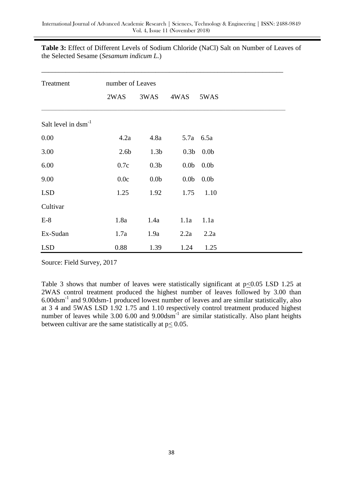| Treatment                |                  | number of Leaves |                  |                  |  |
|--------------------------|------------------|------------------|------------------|------------------|--|
|                          | 2WAS             | 3WAS             | 4WAS             | 5WAS             |  |
| Salt level in $dsm^{-1}$ |                  |                  |                  |                  |  |
| 0.00                     | 4.2a             | 4.8a             |                  | 5.7a 6.5a        |  |
| 3.00                     | 2.6 <sub>b</sub> | 1.3 <sub>b</sub> | 0.3 <sub>b</sub> | 0.0 <sub>b</sub> |  |
| 6.00                     | 0.7c             | 0.3 <sub>b</sub> | 0.0 <sub>b</sub> | 0.0 <sub>b</sub> |  |
| 9.00                     | 0.0c             | 0.0 <sub>b</sub> | 0.0 <sub>b</sub> | 0.0 <sub>b</sub> |  |
| <b>LSD</b>               | 1.25             | 1.92             | 1.75             | 1.10             |  |
| Cultivar                 |                  |                  |                  |                  |  |
| $E-8$                    | 1.8a             | 1.4a             | 1.1a             | 1.1a             |  |
| Ex-Sudan                 | 1.7a             | 1.9a             | 2.2a             | 2.2a             |  |
| <b>LSD</b>               | 0.88             | 1.39             | 1.24             | 1.25             |  |

**Table 3:** Effect of Different Levels of Sodium Chloride (NaCl) Salt on Number of Leaves of the Selected Sesame (*Sesamum indicum L.*)

Source: Field Survey, 2017

Table 3 shows that number of leaves were statistically significant at  $p \le 0.05$  LSD 1.25 at 2WAS control treatment produced the highest number of leaves followed by 3.00 than 6.00dsm-1 and 9.00dsm-1 produced lowest number of leaves and are similar statistically, also at 3 4 and 5WAS LSD 1.92 1.75 and 1.10 respectively control treatment produced highest number of leaves while  $3.00\,6.00$  and  $9.00$ dsm<sup>-1</sup> are similar statistically. Also plant heights between cultivar are the same statistically at  $p < 0.05$ .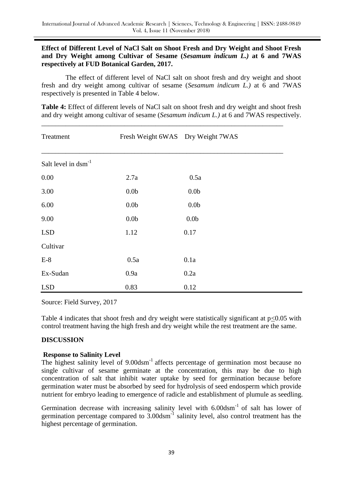## **Effect of Different Level of NaCl Salt on Shoot Fresh and Dry Weight and Shoot Fresh and Dry Weight among Cultivar of Sesame (***Sesamum indicum L.)* **at 6 and 7WAS respectively at FUD Botanical Garden, 2017.**

 The effect of different level of NaCl salt on shoot fresh and dry weight and shoot fresh and dry weight among cultivar of sesame (*Sesamum indicum L.)* at 6 and 7WAS respectively is presented in Table 4 below.

**Table 4:** Effect of different levels of NaCl salt on shoot fresh and dry weight and shoot fresh and dry weight among cultivar of sesame (*Sesamum indicum L.)* at 6 and 7WAS respectively.

\_\_\_\_\_\_\_\_\_\_\_\_\_\_\_\_\_\_\_\_\_\_\_\_\_\_\_\_\_\_\_\_\_\_\_\_\_\_\_\_\_\_\_\_\_\_\_\_\_\_\_\_\_\_\_\_\_\_\_\_\_\_\_\_\_\_\_\_\_\_

| Treatment                | Fresh Weight 6WAS Dry Weight 7WAS |                  |  |
|--------------------------|-----------------------------------|------------------|--|
| Salt level in $dsm^{-1}$ |                                   |                  |  |
| 0.00                     | 2.7a                              | 0.5a             |  |
| 3.00                     | 0.0 <sub>b</sub>                  | 0.0 <sub>b</sub> |  |
| 6.00                     | 0.0 <sub>b</sub>                  | 0.0 <sub>b</sub> |  |
| 9.00                     | 0.0 <sub>b</sub>                  | 0.0 <sub>b</sub> |  |
| <b>LSD</b>               | 1.12                              | 0.17             |  |
| Cultivar                 |                                   |                  |  |
| $E-8$                    | 0.5a                              | 0.1a             |  |
| Ex-Sudan                 | 0.9a                              | 0.2a             |  |
| <b>LSD</b>               | 0.83                              | 0.12             |  |

Source: Field Survey, 2017

Table 4 indicates that shoot fresh and dry weight were statistically significant at  $p<0.05$  with control treatment having the high fresh and dry weight while the rest treatment are the same.

# **DISCUSSION**

# **Response to Salinity Level**

The highest salinity level of 9.00dsm<sup>-1</sup> affects percentage of germination most because no single cultivar of sesame germinate at the concentration, this may be due to high concentration of salt that inhibit water uptake by seed for germination because before germination water must be absorbed by seed for hydrolysis of seed endosperm which provide nutrient for embryo leading to emergence of radicle and establishment of plumule as seedling.

Germination decrease with increasing salinity level with  $6.00d\text{sm}^{-1}$  of salt has lower of germination percentage compared to  $3.00$ dsm<sup>-1</sup> salinity level, also control treatment has the highest percentage of germination.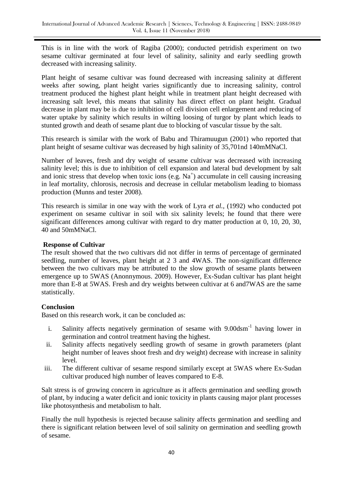This is in line with the work of Ragiba (2000); conducted petridish experiment on two sesame cultivar germinated at four level of salinity, salinity and early seedling growth decreased with increasing salinity.

Plant height of sesame cultivar was found decreased with increasing salinity at different weeks after sowing, plant height varies significantly due to increasing salinity, control treatment produced the highest plant height while in treatment plant height decreased with increasing salt level, this means that salinity has direct effect on plant height. Gradual decrease in plant may be is due to inhibition of cell division cell enlargement and reducing of water uptake by salinity which results in wilting loosing of turgor by plant which leads to stunted growth and death of sesame plant due to blocking of vascular tissue by the salt.

This research is similar with the work of Babu and Thiramuugun (2001) who reported that plant height of sesame cultivar was decreased by high salinity of 35,701nd 140mMNaCl.

Number of leaves, fresh and dry weight of sesame cultivar was decreased with increasing salinity level; this is due to inhibition of cell expansion and lateral bud development by salt and ionic stress that develop when toxic ions (e.g.  $Na<sup>+</sup>$ ) accumulate in cell causing increasing in leaf mortality, chlorosis, necrosis and decrease in cellular metabolism leading to biomass production (Munns and tester 2008).

This research is similar in one way with the work of Lyra *et al.,* (1992) who conducted pot experiment on sesame cultivar in soil with six salinity levels; he found that there were significant differences among cultivar with regard to dry matter production at 0, 10, 20, 30, 40 and 50mMNaCl.

## **Response of Cultivar**

The result showed that the two cultivars did not differ in terms of percentage of germinated seedling, number of leaves, plant height at 2 3 and 4WAS. The non-significant difference between the two cultivars may be attributed to the slow growth of sesame plants between emergence up to 5WAS (Anonnymous. 2009). However, Ex-Sudan cultivar has plant height more than E-8 at 5WAS. Fresh and dry weights between cultivar at 6 and7WAS are the same statistically.

# **Conclusion**

Based on this research work, it can be concluded as:

- i. Salinity affects negatively germination of sesame with 9.00dsm<sup>-1</sup> having lower in germination and control treatment having the highest.
- ii. Salinity affects negatively seedling growth of sesame in growth parameters (plant height number of leaves shoot fresh and dry weight) decrease with increase in salinity level.
- iii. The different cultivar of sesame respond similarly except at 5WAS where Ex-Sudan cultivar produced high number of leaves compared to E-8.

Salt stress is of growing concern in agriculture as it affects germination and seedling growth of plant, by inducing a water deficit and ionic toxicity in plants causing major plant processes like photosynthesis and metabolism to halt.

Finally the null hypothesis is rejected because salinity affects germination and seedling and there is significant relation between level of soil salinity on germination and seedling growth of sesame.